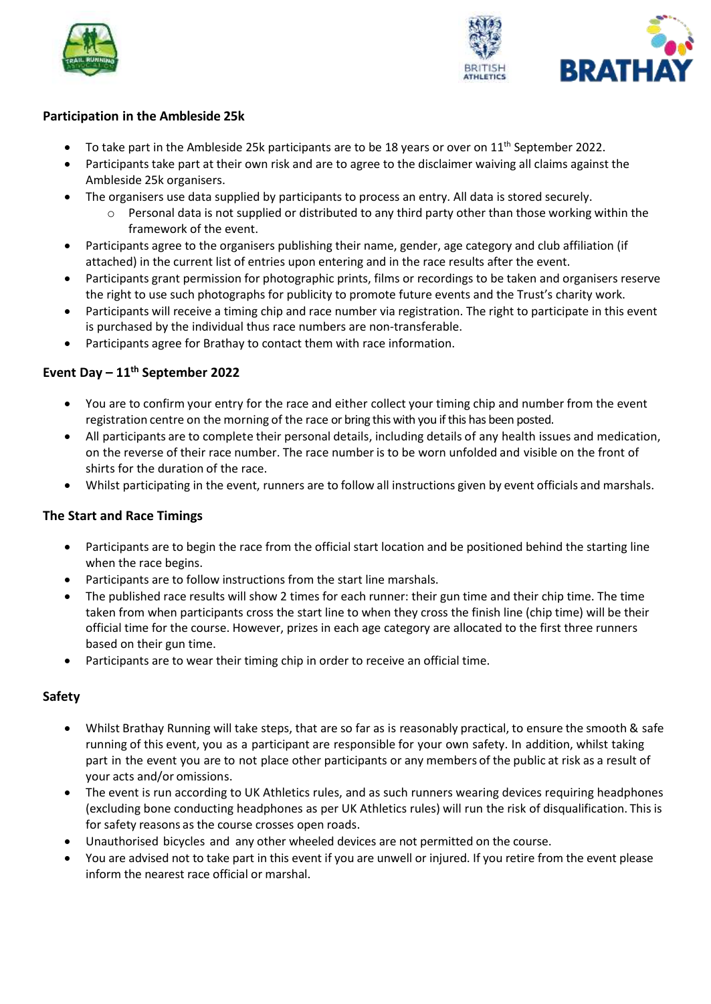



### **Participation in the Ambleside 25k**

- To take part in the Ambleside 25k participants are to be 18 years or over on  $11<sup>th</sup>$  September 2022.
- Participants take part at their own risk and are to agree to the disclaimer waiving all claims against the Ambleside 25k organisers.
- The organisers use data supplied by participants to process an entry. All data is stored securely.
	- $\circ$  Personal data is not supplied or distributed to any third party other than those working within the framework of the event.
- Participants agree to the organisers publishing their name, gender, age category and club affiliation (if attached) in the current list of entries upon entering and in the race results after the event.
- Participants grant permission for photographic prints, films or recordings to be taken and organisers reserve the right to use such photographs for publicity to promote future events and the Trust's charity work.
- Participants will receive a timing chip and race number via registration. The right to participate in this event is purchased by the individual thus race numbers are non-transferable.
- Participants agree for Brathay to contact them with race information.

# **Event Day – 11th September 2022**

- You are to confirm your entry for the race and either collect your timing chip and number from the event registration centre on the morning of the race or bring this with you if this has been posted.
- All participants are to complete their personal details, including details of any health issues and medication, on the reverse of their race number. The race number is to be worn unfolded and visible on the front of shirts for the duration of the race.
- Whilst participating in the event, runners are to follow all instructions given by event officials and marshals.

# **The Start and Race Timings**

- Participants are to begin the race from the official start location and be positioned behind the starting line when the race begins.
- Participants are to follow instructions from the start line marshals.
- The published race results will show 2 times for each runner: their gun time and their chip time. The time taken from when participants cross the start line to when they cross the finish line (chip time) will be their official time for the course. However, prizes in each age category are allocated to the first three runners based on their gun time.
- Participants are to wear their timing chip in order to receive an official time.

# **Safety**

- Whilst Brathay Running will take steps, that are so far as is reasonably practical, to ensure the smooth & safe running of this event, you as a participant are responsible for your own safety. In addition, whilst taking part in the event you are to not place other participants or any members of the public at risk as a result of your acts and/or omissions.
- The event is run according to UK Athletics rules, and as such runners wearing devices requiring headphones (excluding bone conducting headphones as per UK Athletics rules) will run the risk of disqualification. This is for safety reasons as the course crosses open roads.
- Unauthorised bicycles and any other wheeled devices are not permitted on the course.
- You are advised not to take part in this event if you are unwell or injured. If you retire from the event please inform the nearest race official or marshal.